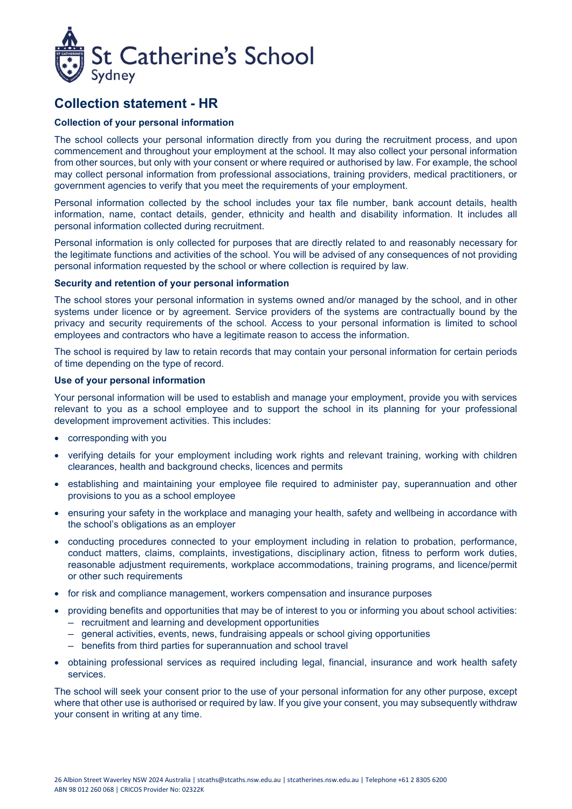

# **Collection statement - HR**

# **Collection of your personal information**

The school collects your personal information directly from you during the recruitment process, and upon commencement and throughout your employment at the school. It may also collect your personal information from other sources, but only with your consent or where required or authorised by law. For example, the school may collect personal information from professional associations, training providers, medical practitioners, or government agencies to verify that you meet the requirements of your employment.

Personal information collected by the school includes your tax file number, bank account details, health information, name, contact details, gender, ethnicity and health and disability information. It includes all personal information collected during recruitment.

Personal information is only collected for purposes that are directly related to and reasonably necessary for the legitimate functions and activities of the school. You will be advised of any consequences of not providing personal information requested by the school or where collection is required by law.

### **Security and retention of your personal information**

The school stores your personal information in systems owned and/or managed by the school, and in other systems under licence or by agreement. Service providers of the systems are contractually bound by the privacy and security requirements of the school. Access to your personal information is limited to school employees and contractors who have a legitimate reason to access the information.

The school is required by law to retain records that may contain your personal information for certain periods of time depending on the type of record.

### **Use of your personal information**

Your personal information will be used to establish and manage your employment, provide you with services relevant to you as a school employee and to support the school in its planning for your professional development improvement activities. This includes:

- corresponding with you
- verifying details for your employment including work rights and relevant training, working with children clearances, health and background checks, licences and permits
- establishing and maintaining your employee file required to administer pay, superannuation and other provisions to you as a school employee
- ensuring your safety in the workplace and managing your health, safety and wellbeing in accordance with the school's obligations as an employer
- conducting procedures connected to your employment including in relation to probation, performance, conduct matters, claims, complaints, investigations, disciplinary action, fitness to perform work duties, reasonable adjustment requirements, workplace accommodations, training programs, and licence/permit or other such requirements
- for risk and compliance management, workers compensation and insurance purposes
- providing benefits and opportunities that may be of interest to you or informing you about school activities:  $-$  recruitment and learning and development opportunities
	- $-$  general activities, events, news, fundraising appeals or school giving opportunities
	- ─ benefits from third parties for superannuation and school travel
- obtaining professional services as required including legal, financial, insurance and work health safety services.

The school will seek your consent prior to the use of your personal information for any other purpose, except where that other use is authorised or required by law. If you give your consent, you may subsequently withdraw your consent in writing at any time.